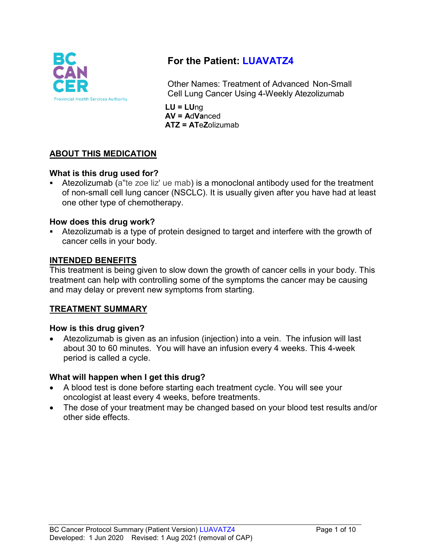

# **For the Patient: LUAVATZ4**

Other Names: Treatment of Advanced Non-Small Cell Lung Cancer Using 4-Weekly Atezolizumab

**LU = LU**ng **AV = A**d**Va**nced **ATZ = AT**e**Z**olizumab

# **ABOUT THIS MEDICATION**

### **What is this drug used for?**

 Atezolizumab (a"te zoe liz' ue mab) is a monoclonal antibody used for the treatment of non-small cell lung cancer (NSCLC). It is usually given after you have had at least one other type of chemotherapy.

#### **How does this drug work?**

 Atezolizumab is a type of protein designed to target and interfere with the growth of cancer cells in your body.

#### **INTENDED BENEFITS**

This treatment is being given to slow down the growth of cancer cells in your body. This treatment can help with controlling some of the symptoms the cancer may be causing and may delay or prevent new symptoms from starting.

### **TREATMENT SUMMARY**

#### **How is this drug given?**

• Atezolizumab is given as an infusion (injection) into a vein. The infusion will last about 30 to 60 minutes. You will have an infusion every 4 weeks. This 4-week period is called a cycle.

#### **What will happen when I get this drug?**

- A blood test is done before starting each treatment cycle. You will see your oncologist at least every 4 weeks, before treatments.
- The dose of your treatment may be changed based on your blood test results and/or other side effects.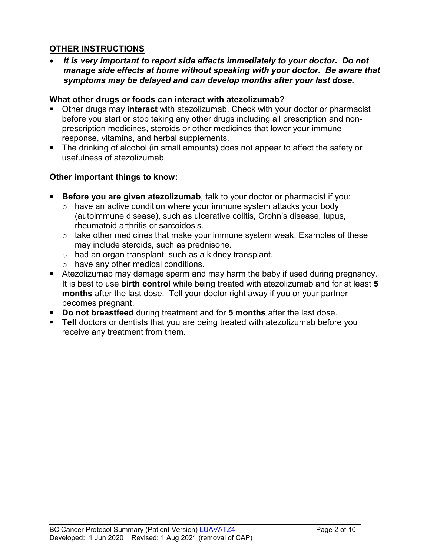# **OTHER INSTRUCTIONS**

• *It is very important to report side effects immediately to your doctor. Do not manage side effects at home without speaking with your doctor. Be aware that symptoms may be delayed and can develop months after your last dose.*

#### **What other drugs or foods can interact with atezolizumab?**

- Other drugs may **interact** with atezolizumab. Check with your doctor or pharmacist before you start or stop taking any other drugs including all prescription and nonprescription medicines, steroids or other medicines that lower your immune response, vitamins, and herbal supplements.
- The drinking of alcohol (in small amounts) does not appear to affect the safety or usefulness of atezolizumab.

### **Other important things to know:**

- **Before you are given atezolizumab**, talk to your doctor or pharmacist if you:
	- $\circ$  have an active condition where your immune system attacks your body (autoimmune disease), such as ulcerative colitis, Crohn's disease, lupus, rheumatoid arthritis or sarcoidosis.
	- o take other medicines that make your immune system weak. Examples of these may include steroids, such as prednisone.
	- o had an organ transplant, such as a kidney transplant.
	- o have any other medical conditions.
- Atezolizumab may damage sperm and may harm the baby if used during pregnancy. It is best to use **birth control** while being treated with atezolizumab and for at least **5 months** after the last dose. Tell your doctor right away if you or your partner becomes pregnant.
- **Do not breastfeed** during treatment and for **5 months** after the last dose.
- **Tell** doctors or dentists that you are being treated with atezolizumab before you receive any treatment from them.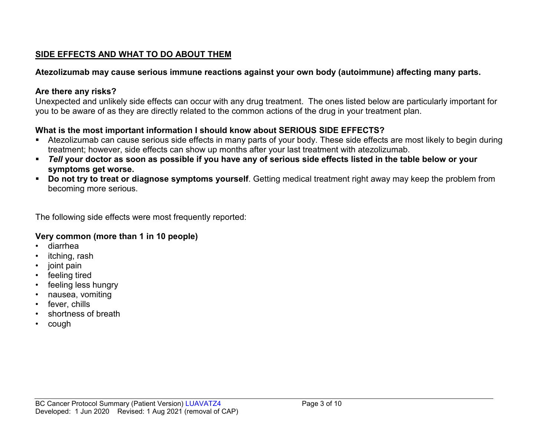# **SIDE EFFECTS AND WHAT TO DO ABOUT THEM**

# **Atezolizumab may cause serious immune reactions against your own body (autoimmune) affecting many parts.**

### **Are there any risks?**

Unexpected and unlikely side effects can occur with any drug treatment. The ones listed below are particularly important for you to be aware of as they are directly related to the common actions of the drug in your treatment plan.

# **What is the most important information I should know about SERIOUS SIDE EFFECTS?**

- Atezolizumab can cause serious side effects in many parts of your body. These side effects are most likely to begin during treatment; however, side effects can show up months after your last treatment with atezolizumab.
- *Tell* **your doctor as soon as possible if you have any of serious side effects listed in the table below or your symptoms get worse.**
- **Do not try to treat or diagnose symptoms yourself**. Getting medical treatment right away may keep the problem from becoming more serious.

The following side effects were most frequently reported:

### **Very common (more than 1 in 10 people)**

- diarrhea
- itching, rash
- joint pain
- feeling tired
- feeling less hungry
- nausea, vomiting
- fever, chills
- shortness of breath
- cough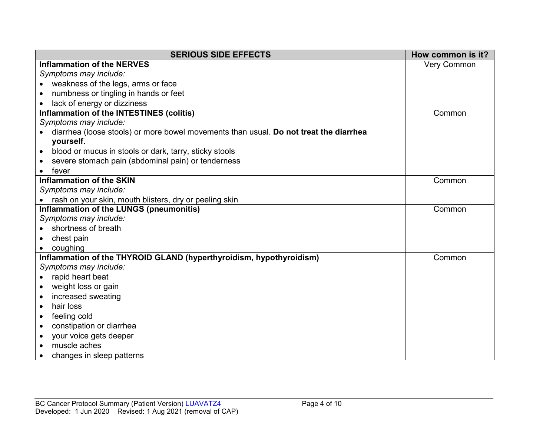| <b>SERIOUS SIDE EFFECTS</b>                                                           | How common is it?  |
|---------------------------------------------------------------------------------------|--------------------|
| <b>Inflammation of the NERVES</b>                                                     | <b>Very Common</b> |
| Symptoms may include:                                                                 |                    |
| weakness of the legs, arms or face                                                    |                    |
| numbness or tingling in hands or feet                                                 |                    |
| lack of energy or dizziness                                                           |                    |
| Inflammation of the INTESTINES (colitis)                                              | Common             |
| Symptoms may include:                                                                 |                    |
| diarrhea (loose stools) or more bowel movements than usual. Do not treat the diarrhea |                    |
| yourself.                                                                             |                    |
| blood or mucus in stools or dark, tarry, sticky stools<br>$\bullet$                   |                    |
| severe stomach pain (abdominal pain) or tenderness                                    |                    |
| fever                                                                                 |                    |
| <b>Inflammation of the SKIN</b>                                                       | Common             |
| Symptoms may include:                                                                 |                    |
| rash on your skin, mouth blisters, dry or peeling skin                                |                    |
| Inflammation of the LUNGS (pneumonitis)                                               | Common             |
| Symptoms may include:                                                                 |                    |
| shortness of breath                                                                   |                    |
| chest pain<br>$\bullet$                                                               |                    |
| coughing                                                                              |                    |
| Inflammation of the THYROID GLAND (hyperthyroidism, hypothyroidism)                   | Common             |
| Symptoms may include:                                                                 |                    |
| rapid heart beat<br>$\bullet$                                                         |                    |
| weight loss or gain<br>$\bullet$                                                      |                    |
| increased sweating<br>$\bullet$                                                       |                    |
| hair loss<br>$\bullet$                                                                |                    |
| feeling cold<br>$\bullet$                                                             |                    |
| constipation or diarrhea<br>$\bullet$                                                 |                    |
| your voice gets deeper<br>$\bullet$                                                   |                    |
| muscle aches<br>$\bullet$                                                             |                    |
| changes in sleep patterns                                                             |                    |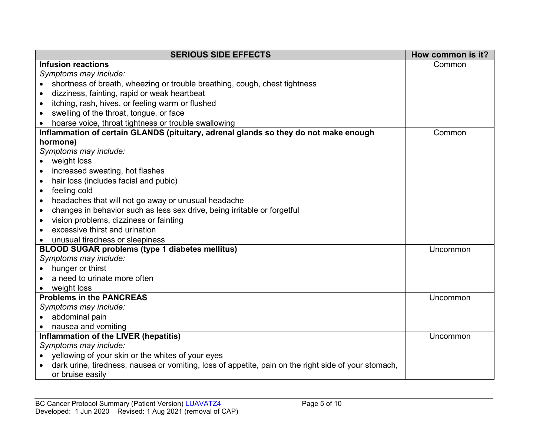| <b>SERIOUS SIDE EFFECTS</b>                                                                          | How common is it? |
|------------------------------------------------------------------------------------------------------|-------------------|
| <b>Infusion reactions</b>                                                                            | Common            |
| Symptoms may include:                                                                                |                   |
| shortness of breath, wheezing or trouble breathing, cough, chest tightness                           |                   |
| dizziness, fainting, rapid or weak heartbeat                                                         |                   |
| itching, rash, hives, or feeling warm or flushed                                                     |                   |
| swelling of the throat, tongue, or face<br>$\bullet$                                                 |                   |
| hoarse voice, throat tightness or trouble swallowing                                                 |                   |
| Inflammation of certain GLANDS (pituitary, adrenal glands so they do not make enough                 | Common            |
| hormone)                                                                                             |                   |
| Symptoms may include:                                                                                |                   |
| weight loss                                                                                          |                   |
| increased sweating, hot flashes<br>$\bullet$                                                         |                   |
| hair loss (includes facial and pubic)<br>$\bullet$                                                   |                   |
| feeling cold<br>$\bullet$                                                                            |                   |
| headaches that will not go away or unusual headache<br>$\bullet$                                     |                   |
| changes in behavior such as less sex drive, being irritable or forgetful<br>$\bullet$                |                   |
| vision problems, dizziness or fainting<br>$\bullet$                                                  |                   |
| excessive thirst and urination                                                                       |                   |
| unusual tiredness or sleepiness                                                                      |                   |
| <b>BLOOD SUGAR problems (type 1 diabetes mellitus)</b>                                               | Uncommon          |
| Symptoms may include:                                                                                |                   |
| hunger or thirst                                                                                     |                   |
| a need to urinate more often                                                                         |                   |
| weight loss                                                                                          |                   |
| <b>Problems in the PANCREAS</b>                                                                      | Uncommon          |
| Symptoms may include:                                                                                |                   |
| abdominal pain                                                                                       |                   |
| nausea and vomiting                                                                                  |                   |
| Inflammation of the LIVER (hepatitis)                                                                | Uncommon          |
| Symptoms may include:                                                                                |                   |
| yellowing of your skin or the whites of your eyes                                                    |                   |
| dark urine, tiredness, nausea or vomiting, loss of appetite, pain on the right side of your stomach, |                   |
| or bruise easily                                                                                     |                   |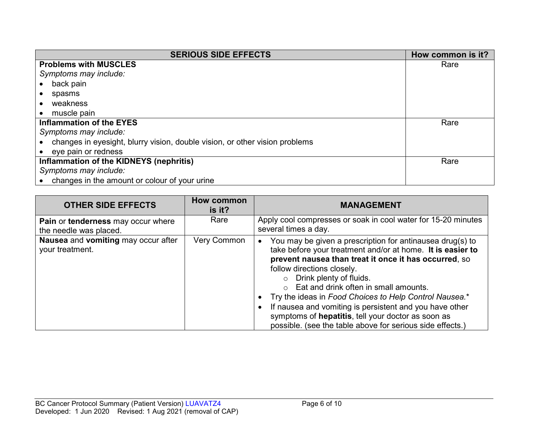| <b>SERIOUS SIDE EFFECTS</b>                                                 | How common is it? |
|-----------------------------------------------------------------------------|-------------------|
| <b>Problems with MUSCLES</b>                                                | Rare              |
| Symptoms may include:                                                       |                   |
| back pain                                                                   |                   |
| spasms                                                                      |                   |
| weakness                                                                    |                   |
| muscle pain                                                                 |                   |
| <b>Inflammation of the EYES</b>                                             | Rare              |
| Symptoms may include:                                                       |                   |
| changes in eyesight, blurry vision, double vision, or other vision problems |                   |
| • eye pain or redness                                                       |                   |
| Inflammation of the KIDNEYS (nephritis)                                     | Rare              |
| Symptoms may include:                                                       |                   |
| changes in the amount or colour of your urine                               |                   |

| <b>OTHER SIDE EFFECTS</b>                                    | <b>How common</b><br>is it? | <b>MANAGEMENT</b>                                                                                                                                                                                                                                                                                                                                                                                                                                                                                                                      |
|--------------------------------------------------------------|-----------------------------|----------------------------------------------------------------------------------------------------------------------------------------------------------------------------------------------------------------------------------------------------------------------------------------------------------------------------------------------------------------------------------------------------------------------------------------------------------------------------------------------------------------------------------------|
| Pain or tenderness may occur where<br>the needle was placed. | Rare                        | Apply cool compresses or soak in cool water for 15-20 minutes<br>several times a day.                                                                                                                                                                                                                                                                                                                                                                                                                                                  |
| Nausea and vomiting may occur after<br>your treatment.       | Very Common                 | You may be given a prescription for antinausea drug(s) to<br>take before your treatment and/or at home. It is easier to<br>prevent nausea than treat it once it has occurred, so<br>follow directions closely.<br>o Drink plenty of fluids.<br>Eat and drink often in small amounts.<br>$\cap$<br>Try the ideas in Food Choices to Help Control Nausea.*<br>If nausea and vomiting is persistent and you have other<br>symptoms of hepatitis, tell your doctor as soon as<br>possible. (see the table above for serious side effects.) |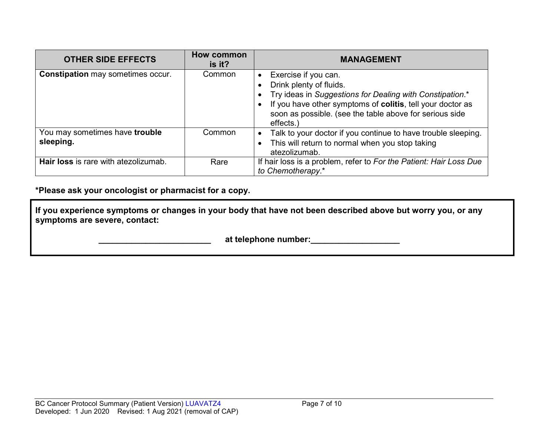| <b>OTHER SIDE EFFECTS</b>                   | <b>How common</b><br>is it? | <b>MANAGEMENT</b>                                                                                                                                                                                                                                 |
|---------------------------------------------|-----------------------------|---------------------------------------------------------------------------------------------------------------------------------------------------------------------------------------------------------------------------------------------------|
| <b>Constipation may sometimes occur.</b>    | Common                      | Exercise if you can.<br>Drink plenty of fluids.<br>Try ideas in Suggestions for Dealing with Constipation.*<br>If you have other symptoms of colitis, tell your doctor as<br>soon as possible. (see the table above for serious side<br>effects.) |
| You may sometimes have trouble<br>sleeping. | Common                      | Talk to your doctor if you continue to have trouble sleeping.<br>This will return to normal when you stop taking<br>atezolizumab.                                                                                                                 |
| Hair loss is rare with atezolizumab.        | Rare                        | If hair loss is a problem, refer to For the Patient: Hair Loss Due<br>to Chemotherapy.*                                                                                                                                                           |

**\*Please ask your oncologist or pharmacist for a copy.**

**If you experience symptoms or changes in your body that have not been described above but worry you, or any symptoms are severe, contact:**

 **\_\_\_\_\_\_\_\_\_\_\_\_\_\_\_\_\_\_\_\_\_\_\_\_ at telephone number:\_\_\_\_\_\_\_\_\_\_\_\_\_\_\_\_\_\_\_**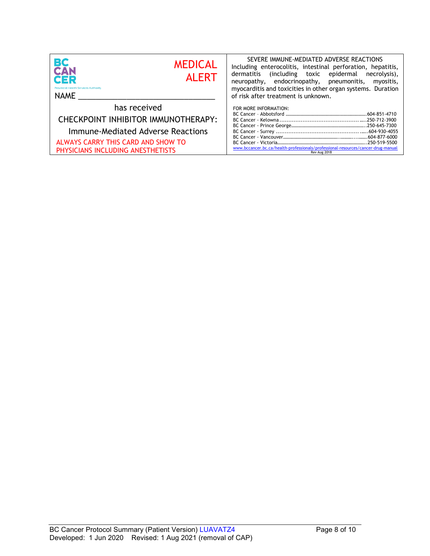| ВC<br><b>MEDICAL</b><br><b>CAN</b><br><b>ALERT</b><br>CER<br><b>Provincial Health Services Authority</b><br>NAME | SEVERE IMMUNE-MEDIATED ADVERSE REACTIONS<br>Including enterocolitis, intestinal perforation, hepatitis,<br>dermatitis (including toxic epidermal necrolysis),<br>neuropathy, endocrinopathy, pneumonitis,<br>myositis,<br>myocarditis and toxicities in other organ systems. Duration<br>of risk after treatment is unknown. |
|------------------------------------------------------------------------------------------------------------------|------------------------------------------------------------------------------------------------------------------------------------------------------------------------------------------------------------------------------------------------------------------------------------------------------------------------------|
| has received                                                                                                     | FOR MORE INFORMATION:                                                                                                                                                                                                                                                                                                        |
| CHECKPOINT INHIBITOR IMMUNOTHERAPY:                                                                              |                                                                                                                                                                                                                                                                                                                              |
| Immune-Mediated Adverse Reactions                                                                                |                                                                                                                                                                                                                                                                                                                              |
| ALWAYS CARRY THIS CARD AND SHOW TO<br>PHYSICIANS INCLUDING ANESTHETISTS                                          | www.bccancer.bc.ca/health-professionals/professional-resources/cancer-drug-manual<br>Rev Aug 2018                                                                                                                                                                                                                            |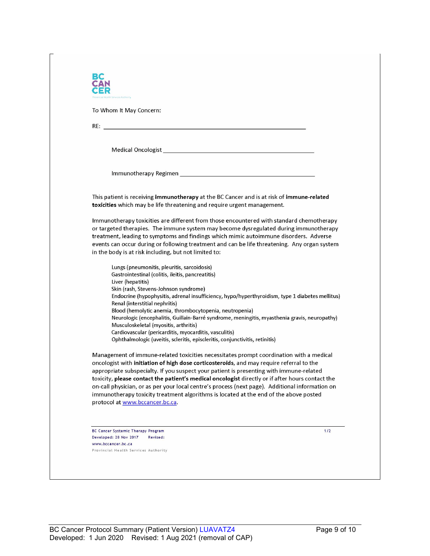| To Whom It May Concern:                                                                                                                                                                                                                                                                                                                                                            |
|------------------------------------------------------------------------------------------------------------------------------------------------------------------------------------------------------------------------------------------------------------------------------------------------------------------------------------------------------------------------------------|
|                                                                                                                                                                                                                                                                                                                                                                                    |
|                                                                                                                                                                                                                                                                                                                                                                                    |
|                                                                                                                                                                                                                                                                                                                                                                                    |
|                                                                                                                                                                                                                                                                                                                                                                                    |
| This patient is receiving immunotherapy at the BC Cancer and is at risk of immune-related<br>toxicities which may be life threatening and require urgent management.                                                                                                                                                                                                               |
| Immunotherapy toxicities are different from those encountered with standard chemotherapy<br>or targeted therapies. The immune system may become dysregulated during immunotherapy<br>treatment, leading to symptoms and findings which mimic autoimmune disorders. Adverse<br>events can occur during or following treatment and can be life threatening. Any organ system         |
| in the body is at risk including, but not limited to:                                                                                                                                                                                                                                                                                                                              |
| Lungs (pneumonitis, pleuritis, sarcoidosis)<br>Gastrointestinal (colitis, ileitis, pancreatitis)<br>Liver (hepatitis)                                                                                                                                                                                                                                                              |
| Skin (rash, Stevens-Johnson syndrome)<br>Endocrine (hypophysitis, adrenal insufficiency, hypo/hyperthyroidism, type 1 diabetes mellitus)<br>Renal (interstitial nephritis)                                                                                                                                                                                                         |
| Blood (hemolytic anemia, thrombocytopenia, neutropenia)<br>Neurologic (encephalitis, Guillain-Barré syndrome, meningitis, myasthenia gravis, neuropathy)<br>Musculoskeletal (myositis, arthritis)                                                                                                                                                                                  |
| Cardiovascular (pericarditis, myocarditis, vasculitis)<br>Ophthalmologic (uveitis, scleritis, episcleritis, conjunctivitis, retinitis)                                                                                                                                                                                                                                             |
| Management of immune-related toxicities necessitates prompt coordination with a medical<br>oncologist with initiation of high dose corticosteroids, and may require referral to the<br>appropriate subspecialty. If you suspect your patient is presenting with immune-related<br>toxicity, please contact the patient's medical oncologist directly or if after hours contact the |
| on-call physician, or as per your local centre's process (next page). Additional information on<br>immunotherapy toxicity treatment algorithms is located at the end of the above posted<br>protocol at www.bccancer.bc.ca.                                                                                                                                                        |
|                                                                                                                                                                                                                                                                                                                                                                                    |